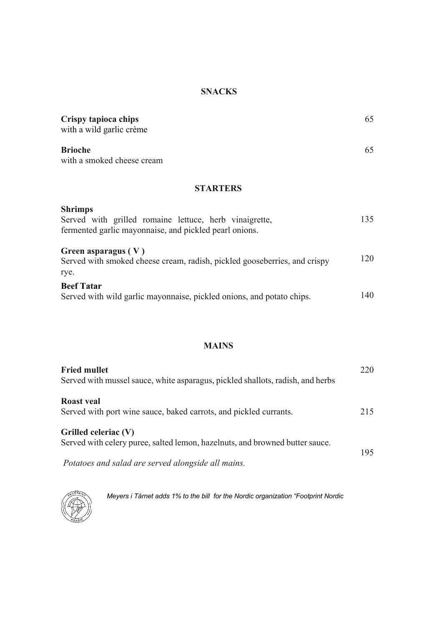#### **SNACKS**

| Crispy tapioca chips<br>with a wild garlic crème | 65 |
|--------------------------------------------------|----|
| <b>Brioche</b><br>with a smoked cheese cream     | 65 |

### **STARTERS**

| <b>Shrimps</b><br>Served with grilled romaine lettuce, herb vinaigrette,<br>fermented garlic mayonnaise, and pickled pearl onions. | 135 |
|------------------------------------------------------------------------------------------------------------------------------------|-----|
| Green asparagus $(V)$<br>Served with smoked cheese cream, radish, pickled gooseberries, and crispy<br>rye.                         | 120 |
| <b>Beef Tatar</b><br>Served with wild garlic mayonnaise, pickled onions, and potato chips.                                         | 140 |

### **MAINS**

| <b>Fried mullet</b><br>Served with mussel sauce, white asparagus, pickled shallots, radish, and herbs | 220 |
|-------------------------------------------------------------------------------------------------------|-----|
| <b>Roast</b> veal<br>Served with port wine sauce, baked carrots, and pickled currants.                | 215 |
| Grilled celeriac (V)<br>Served with celery puree, salted lemon, hazelnuts, and browned butter sauce.  | 195 |
| Potatoes and salad are served alongside all mains.                                                    |     |



 *Meyers i Tårnet adds 1% to the bill for the Nordic organization "Footprint Nordic*